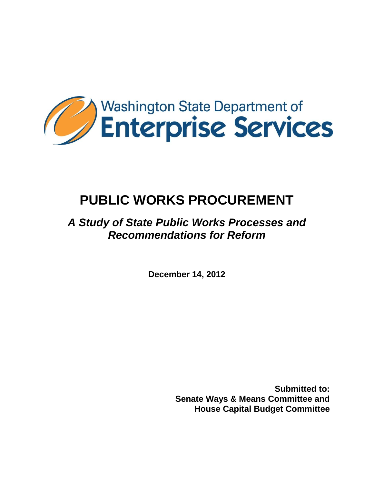

# **PUBLIC WORKS PROCUREMENT**

## *A Study of State Public Works Processes and Recommendations for Reform*

**December 14, 2012**

**Submitted to: Senate Ways & Means Committee and House Capital Budget Committee**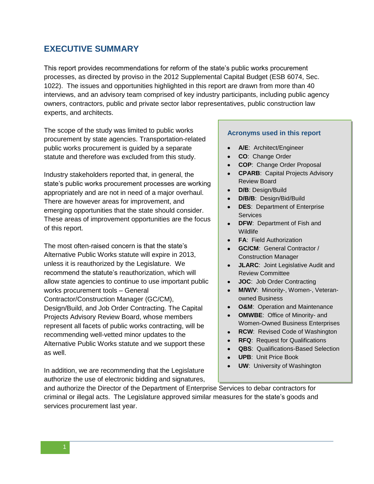## **EXECUTIVE SUMMARY**

This report provides recommendations for reform of the state"s public works procurement processes, as directed by proviso in the 2012 Supplemental Capital Budget (ESB 6074, Sec. 1022). The issues and opportunities highlighted in this report are drawn from more than 40 interviews, and an advisory team comprised of key industry participants, including public agency owners, contractors, public and private sector labor representatives, public construction law experts, and architects.

The scope of the study was limited to public works procurement by state agencies. Transportation-related public works procurement is guided by a separate statute and therefore was excluded from this study.

Industry stakeholders reported that, in general, the state"s public works procurement processes are working appropriately and are not in need of a major overhaul. There are however areas for improvement, and emerging opportunities that the state should consider. These areas of improvement opportunities are the focus of this report.

The most often-raised concern is that the state"s Alternative Public Works statute will expire in 2013, unless it is reauthorized by the Legislature. We recommend the statute"s reauthorization, which will allow state agencies to continue to use important public works procurement tools – General Contractor/Construction Manager (GC/CM), Design/Build, and Job Order Contracting. The Capital Projects Advisory Review Board, whose members represent all facets of public works contracting, will be recommending well-vetted minor updates to the Alternative Public Works statute and we support these as well.

In addition, we are recommending that the Legislature authorize the use of electronic bidding and signatures,

#### **Acronyms used in this report**

- **A/E**: Architect/Engineer
- **CO**: Change Order
- **COP**: Change Order Proposal
- **CPARB**: Capital Projects Advisory Review Board
- $\bullet$ **D/B**: Design/Build
- **D/B/B**: Design/Bid/Build
- **DES**: Department of Enterprise **Services**
- **DFW**: Department of Fish and **Wildlife**
- **FA**: Field Authorization
- **GC/CM**: General Contractor / Construction Manager
- **JLARC:** Joint Legislative Audit and Review Committee
- **JOC**: Job Order Contracting  $\bullet$
- **M/W/V**: Minority-, Women-, Veteranowned Business
- **O&M:** Operation and Maintenance  $\bullet$
- **OMWBE**: Office of Minority- and Women-Owned Business Enterprises
- $\bullet$ **RCW**: Revised Code of Washington
- **RFQ**: Request for Qualifications
- **QBS**: Qualifications-Based Selection
- **UPB**: Unit Price Book  $\bullet$
- **UW**: University of Washington

and authorize the Director of the Department of Enterprise Services to debar contractors for criminal or illegal acts. The Legislature approved similar measures for the state"s goods and services procurement last year.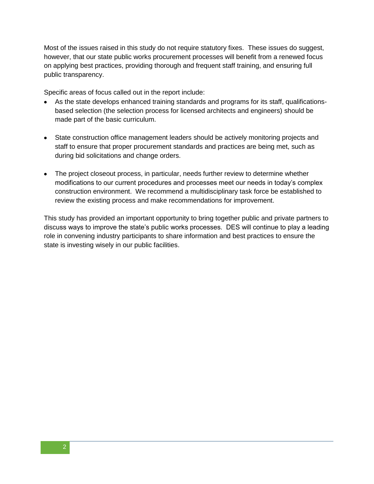Most of the issues raised in this study do not require statutory fixes. These issues do suggest, however, that our state public works procurement processes will benefit from a renewed focus on applying best practices, providing thorough and frequent staff training, and ensuring full public transparency.

Specific areas of focus called out in the report include:

- As the state develops enhanced training standards and programs for its staff, qualificationsbased selection (the selection process for licensed architects and engineers) should be made part of the basic curriculum.
- State construction office management leaders should be actively monitoring projects and staff to ensure that proper procurement standards and practices are being met, such as during bid solicitations and change orders.
- The project closeout process, in particular, needs further review to determine whether modifications to our current procedures and processes meet our needs in today"s complex construction environment. We recommend a multidisciplinary task force be established to review the existing process and make recommendations for improvement.

This study has provided an important opportunity to bring together public and private partners to discuss ways to improve the state"s public works processes. DES will continue to play a leading role in convening industry participants to share information and best practices to ensure the state is investing wisely in our public facilities.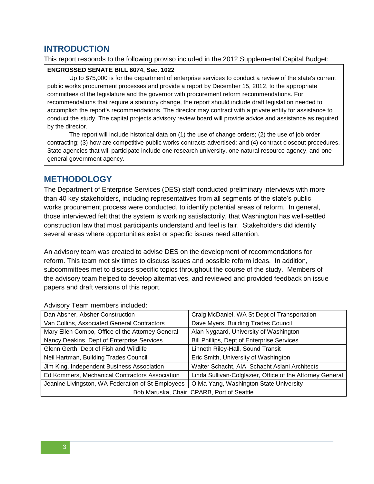## **INTRODUCTION**

This report responds to the following proviso included in the 2012 Supplemental Capital Budget:

#### **ENGROSSED SENATE BILL 6074, Sec. 1022**

Up to \$75,000 is for the department of enterprise services to conduct a review of the state's current public works procurement processes and provide a report by December 15, 2012, to the appropriate committees of the legislature and the governor with procurement reform recommendations. For recommendations that require a statutory change, the report should include draft legislation needed to accomplish the report's recommendations. The director may contract with a private entity for assistance to conduct the study. The capital projects advisory review board will provide advice and assistance as required by the director.

The report will include historical data on (1) the use of change orders; (2) the use of job order contracting; (3) how are competitive public works contracts advertised; and (4) contract closeout procedures. State agencies that will participate include one research university, one natural resource agency, and one general government agency.

## **METHODOLOGY**

The Department of Enterprise Services (DES) staff conducted preliminary interviews with more than 40 key stakeholders, including representatives from all segments of the state"s public works procurement process were conducted, to identify potential areas of reform. In general, those interviewed felt that the system is working satisfactorily, that Washington has well-settled construction law that most participants understand and feel is fair. Stakeholders did identify several areas where opportunities exist or specific issues need attention.

An advisory team was created to advise DES on the development of recommendations for reform. This team met six times to discuss issues and possible reform ideas. In addition, subcommittees met to discuss specific topics throughout the course of the study. Members of the advisory team helped to develop alternatives, and reviewed and provided feedback on issue papers and draft versions of this report.

| Dan Absher, Absher Construction                   | Craig McDaniel, WA St Dept of Transportation              |  |  |  |  |  |  |  |
|---------------------------------------------------|-----------------------------------------------------------|--|--|--|--|--|--|--|
| Van Collins, Associated General Contractors       | Dave Myers, Building Trades Council                       |  |  |  |  |  |  |  |
| Mary Ellen Combo, Office of the Attorney General  | Alan Nygaard, University of Washington                    |  |  |  |  |  |  |  |
| Nancy Deakins, Dept of Enterprise Services        | <b>Bill Phillips, Dept of Enterprise Services</b>         |  |  |  |  |  |  |  |
| Glenn Gerth, Dept of Fish and Wildlife            | Linneth Riley-Hall, Sound Transit                         |  |  |  |  |  |  |  |
| Neil Hartman, Building Trades Council             | Eric Smith, University of Washington                      |  |  |  |  |  |  |  |
| Jim King, Independent Business Association        | Walter Schacht, AIA, Schacht Aslani Architects            |  |  |  |  |  |  |  |
| Ed Kommers, Mechanical Contractors Association    | Linda Sullivan-Colglazier, Office of the Attorney General |  |  |  |  |  |  |  |
| Jeanine Livingston, WA Federation of St Employees | Olivia Yang, Washington State University                  |  |  |  |  |  |  |  |
| Bob Maruska, Chair, CPARB, Port of Seattle        |                                                           |  |  |  |  |  |  |  |

Advisory Team members included: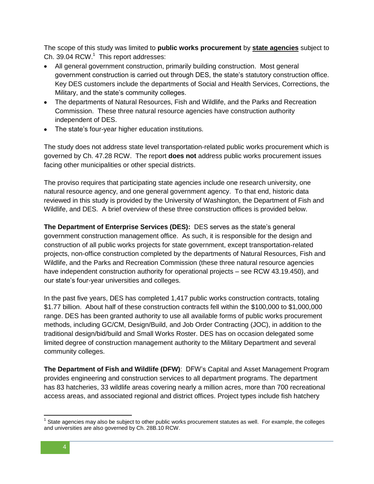The scope of this study was limited to **public works procurement** by **state agencies** subject to Ch. 39.04 RCW.<sup>1</sup> This report addresses:

- All general government construction, primarily building construction. Most general government construction is carried out through DES, the state"s statutory construction office. Key DES customers include the departments of Social and Health Services, Corrections, the Military, and the state's community colleges.
- The departments of Natural Resources, Fish and Wildlife, and the Parks and Recreation Commission. These three natural resource agencies have construction authority independent of DES.
- The state's four-year higher education institutions.

The study does not address state level transportation-related public works procurement which is governed by Ch. 47.28 RCW. The report **does not** address public works procurement issues facing other municipalities or other special districts.

The proviso requires that participating state agencies include one research university, one natural resource agency, and one general government agency. To that end, historic data reviewed in this study is provided by the University of Washington, the Department of Fish and Wildlife, and DES. A brief overview of these three construction offices is provided below.

**The Department of Enterprise Services (DES):** DES serves as the state"s general government construction management office. As such, it is responsible for the design and construction of all public works projects for state government, except transportation-related projects, non-office construction completed by the departments of Natural Resources, Fish and Wildlife, and the Parks and Recreation Commission (these three natural resource agencies have independent construction authority for operational projects – see RCW 43.19.450), and our state"s four-year universities and colleges.

In the past five years, DES has completed 1,417 public works construction contracts, totaling \$1.77 billion. About half of these construction contracts fell within the \$100,000 to \$1,000,000 range. DES has been granted authority to use all available forms of public works procurement methods, including GC/CM, Design/Build, and Job Order Contracting (JOC), in addition to the traditional design/bid/build and Small Works Roster. DES has on occasion delegated some limited degree of construction management authority to the Military Department and several community colleges.

**The Department of Fish and Wildlife (DFW)**: DFW"s Capital and Asset Management Program provides engineering and construction services to all department programs. The department has 83 hatcheries, 33 wildlife areas covering nearly a million acres, more than 700 recreational access areas, and associated regional and district offices. Project types include fish hatchery

 $\overline{\phantom{a}}$  $1$  State agencies may also be subject to other public works procurement statutes as well. For example, the colleges and universities are also governed by Ch. 28B.10 RCW.

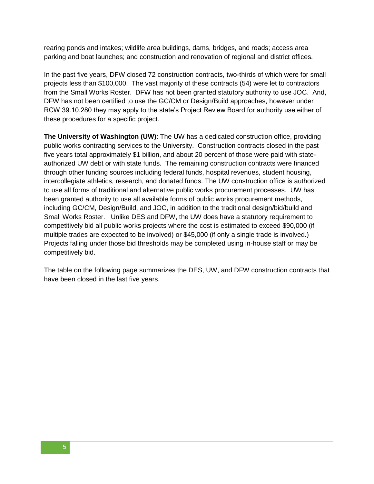rearing ponds and intakes; wildlife area buildings, dams, bridges, and roads; access area parking and boat launches; and construction and renovation of regional and district offices.

In the past five years, DFW closed 72 construction contracts, two-thirds of which were for small projects less than \$100,000. The vast majority of these contracts (54) were let to contractors from the Small Works Roster. DFW has not been granted statutory authority to use JOC. And, DFW has not been certified to use the GC/CM or Design/Build approaches, however under RCW 39.10.280 they may apply to the state"s Project Review Board for authority use either of these procedures for a specific project.

**The University of Washington (UW)**: The UW has a dedicated construction office, providing public works contracting services to the University. Construction contracts closed in the past five years total approximately \$1 billion, and about 20 percent of those were paid with stateauthorized UW debt or with state funds. The remaining construction contracts were financed through other funding sources including federal funds, hospital revenues, student housing, intercollegiate athletics, research, and donated funds. The UW construction office is authorized to use all forms of traditional and alternative public works procurement processes. UW has been granted authority to use all available forms of public works procurement methods, including GC/CM, Design/Build, and JOC, in addition to the traditional design/bid/build and Small Works Roster. Unlike DES and DFW, the UW does have a statutory requirement to competitively bid all public works projects where the cost is estimated to exceed \$90,000 (if multiple trades are expected to be involved) or \$45,000 (if only a single trade is involved.) Projects falling under those bid thresholds may be completed using in-house staff or may be competitively bid.

The table on the following page summarizes the DES, UW, and DFW construction contracts that have been closed in the last five years.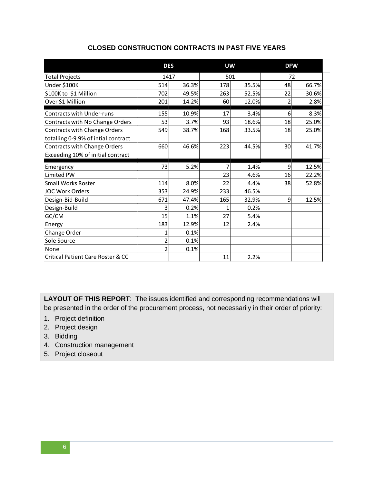|                                     | <b>DES</b>     |       | <b>UW</b>      |       | <b>DFW</b> |       |  |
|-------------------------------------|----------------|-------|----------------|-------|------------|-------|--|
| <b>Total Projects</b>               | 1417           |       | 501            |       | 72         |       |  |
| Under \$100K                        | 514            | 36.3% | 178            | 35.5% | 48         | 66.7% |  |
| \$100K to \$1 Million               | 702            | 49.5% | 263            | 52.5% | 22         | 30.6% |  |
| Over \$1 Million                    | 201            | 14.2% | 60             | 12.0% | 2          | 2.8%  |  |
| <b>Contracts with Under-runs</b>    | 155            | 10.9% | 17             | 3.4%  | 6          | 8.3%  |  |
| Contracts with No Change Orders     | 53             | 3.7%  | 93             | 18.6% | 18         | 25.0% |  |
| Contracts with Change Orders        | 549            | 38.7% | 168            | 33.5% | 18         | 25.0% |  |
| totalling 0-9.9% of intial contract |                |       |                |       |            |       |  |
| Contracts with Change Orders        | 660            | 46.6% | 223            | 44.5% | 30         | 41.7% |  |
| Exceeding 10% of initial contract   |                |       |                |       |            |       |  |
| Emergency                           | 73             | 5.2%  | $\overline{7}$ | 1.4%  | 9          | 12.5% |  |
| Limited PW                          |                |       | 23             | 4.6%  | 16         | 22.2% |  |
| <b>Small Works Roster</b>           | 114            | 8.0%  | 22             | 4.4%  | 38         | 52.8% |  |
|                                     |                |       |                |       |            |       |  |
| <b>JOC Work Orders</b>              | 353            | 24.9% | 233            | 46.5% |            |       |  |
| Design-Bid-Build                    | 671            | 47.4% | 165            | 32.9% | 9          | 12.5% |  |
|                                     |                |       |                |       |            |       |  |
| Design-Build                        | 3              | 0.2%  | 1              | 0.2%  |            |       |  |
| GC/CM                               | 15             | 1.1%  | 27             | 5.4%  |            |       |  |
| Energy                              | 183            | 12.9% | 12             | 2.4%  |            |       |  |
| Change Order                        | 1              | 0.1%  |                |       |            |       |  |
| Sole Source                         | 2              | 0.1%  |                |       |            |       |  |
| None                                | $\overline{2}$ | 0.1%  |                |       |            |       |  |

#### **CLOSED CONSTRUCTION CONTRACTS IN PAST FIVE YEARS**

**LAYOUT OF THIS REPORT**: The issues identified and corresponding recommendations will be presented in the order of the procurement process, not necessarily in their order of priority:

- 1. Project definition
- 2. Project design
- 3. Bidding
- 4. Construction management
- 5. Project closeout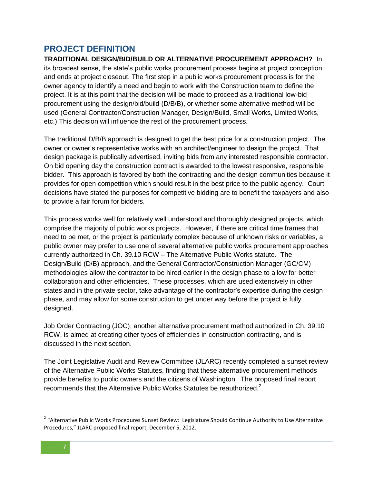## **PROJECT DEFINITION**

**TRADITIONAL DESIGN/BID/BUILD OR ALTERNATIVE PROCUREMENT APPROACH?** In its broadest sense, the state"s public works procurement process begins at project conception and ends at project closeout. The first step in a public works procurement process is for the owner agency to identify a need and begin to work with the Construction team to define the project. It is at this point that the decision will be made to proceed as a traditional low-bid procurement using the design/bid/build (D/B/B), or whether some alternative method will be used (General Contractor/Construction Manager, Design/Build, Small Works, Limited Works, etc.) This decision will influence the rest of the procurement process.

The traditional D/B/B approach is designed to get the best price for a construction project. The owner or owner"s representative works with an architect/engineer to design the project. That design package is publically advertised, inviting bids from any interested responsible contractor. On bid opening day the construction contract is awarded to the lowest responsive, responsible bidder. This approach is favored by both the contracting and the design communities because it provides for open competition which should result in the best price to the public agency. Court decisions have stated the purposes for competitive bidding are to benefit the taxpayers and also to provide a fair forum for bidders.

This process works well for relatively well understood and thoroughly designed projects, which comprise the majority of public works projects. However, if there are critical time frames that need to be met, or the project is particularly complex because of unknown risks or variables, a public owner may prefer to use one of several alternative public works procurement approaches currently authorized in Ch. 39.10 RCW – The Alternative Public Works statute. The Design/Build (D/B) approach, and the General Contractor/Construction Manager (GC/CM) methodologies allow the contractor to be hired earlier in the design phase to allow for better collaboration and other efficiencies. These processes, which are used extensively in other states and in the private sector, take advantage of the contractor"s expertise during the design phase, and may allow for some construction to get under way before the project is fully designed.

Job Order Contracting (JOC), another alternative procurement method authorized in Ch. 39.10 RCW, is aimed at creating other types of efficiencies in construction contracting, and is discussed in the next section.

The Joint Legislative Audit and Review Committee (JLARC) recently completed a sunset review of the Alternative Public Works Statutes, finding that these alternative procurement methods provide benefits to public owners and the citizens of Washington. The proposed final report recommends that the Alternative Public Works Statutes be reauthorized.<sup>2</sup>

 2 "Alternative Public Works Procedures Sunset Review: Legislature Should Continue Authority to Use Alternative Procedures," JLARC proposed final report, December 5, 2012.

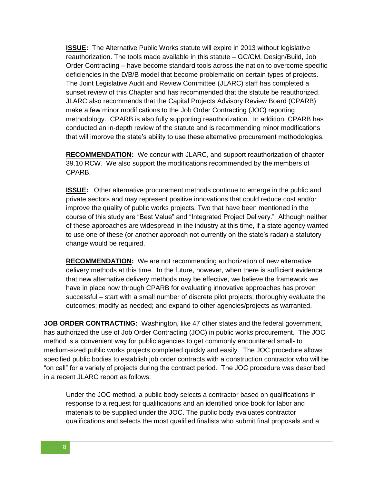**ISSUE:** The Alternative Public Works statute will expire in 2013 without legislative reauthorization. The tools made available in this statute – GC/CM, Design/Build, Job Order Contracting – have become standard tools across the nation to overcome specific deficiencies in the D/B/B model that become problematic on certain types of projects. The Joint Legislative Audit and Review Committee (JLARC) staff has completed a sunset review of this Chapter and has recommended that the statute be reauthorized. JLARC also recommends that the Capital Projects Advisory Review Board (CPARB) make a few minor modifications to the Job Order Contracting (JOC) reporting methodology. CPARB is also fully supporting reauthorization. In addition, CPARB has conducted an in-depth review of the statute and is recommending minor modifications that will improve the state"s ability to use these alternative procurement methodologies.

**RECOMMENDATION:** We concur with JLARC, and support reauthorization of chapter 39.10 RCW. We also support the modifications recommended by the members of CPARB.

**ISSUE:** Other alternative procurement methods continue to emerge in the public and private sectors and may represent positive innovations that could reduce cost and/or improve the quality of public works projects. Two that have been mentioned in the course of this study are "Best Value" and "Integrated Project Delivery." Although neither of these approaches are widespread in the industry at this time, if a state agency wanted to use one of these (or another approach not currently on the state"s radar) a statutory change would be required.

**RECOMMENDATION:** We are not recommending authorization of new alternative delivery methods at this time. In the future, however, when there is sufficient evidence that new alternative delivery methods may be effective, we believe the framework we have in place now through CPARB for evaluating innovative approaches has proven successful – start with a small number of discrete pilot projects; thoroughly evaluate the outcomes; modify as needed; and expand to other agencies/projects as warranted.

**JOB ORDER CONTRACTING:** Washington, like 47 other states and the federal government, has authorized the use of Job Order Contracting (JOC) in public works procurement. The JOC method is a convenient way for public agencies to get commonly encountered small- to medium-sized public works projects completed quickly and easily. The JOC procedure allows specified public bodies to establish job order contracts with a construction contractor who will be "on call" for a variety of projects during the contract period. The JOC procedure was described in a recent JLARC report as follows:

Under the JOC method, a public body selects a contractor based on qualifications in response to a request for qualifications and an identified price book for labor and materials to be supplied under the JOC. The public body evaluates contractor qualifications and selects the most qualified finalists who submit final proposals and a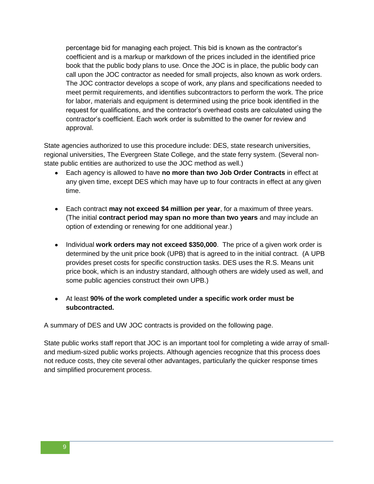percentage bid for managing each project. This bid is known as the contractor"s coefficient and is a markup or markdown of the prices included in the identified price book that the public body plans to use. Once the JOC is in place, the public body can call upon the JOC contractor as needed for small projects, also known as work orders. The JOC contractor develops a scope of work, any plans and specifications needed to meet permit requirements, and identifies subcontractors to perform the work. The price for labor, materials and equipment is determined using the price book identified in the request for qualifications, and the contractor"s overhead costs are calculated using the contractor"s coefficient. Each work order is submitted to the owner for review and approval.

State agencies authorized to use this procedure include: DES, state research universities, regional universities, The Evergreen State College, and the state ferry system. (Several nonstate public entities are authorized to use the JOC method as well.)

- Each agency is allowed to have **no more than two Job Order Contracts** in effect at  $\bullet$ any given time, except DES which may have up to four contracts in effect at any given time.
- Each contract **may not exceed \$4 million per year**, for a maximum of three years. (The initial **contract period may span no more than two years** and may include an option of extending or renewing for one additional year.)
- Individual **work orders may not exceed \$350,000**. The price of a given work order is determined by the unit price book (UPB) that is agreed to in the initial contract. (A UPB provides preset costs for specific construction tasks. DES uses the R.S. Means unit price book, which is an industry standard, although others are widely used as well, and some public agencies construct their own UPB.)
- At least **90% of the work completed under a specific work order must be subcontracted.**

A summary of DES and UW JOC contracts is provided on the following page.

State public works staff report that JOC is an important tool for completing a wide array of smalland medium-sized public works projects. Although agencies recognize that this process does not reduce costs, they cite several other advantages, particularly the quicker response times and simplified procurement process.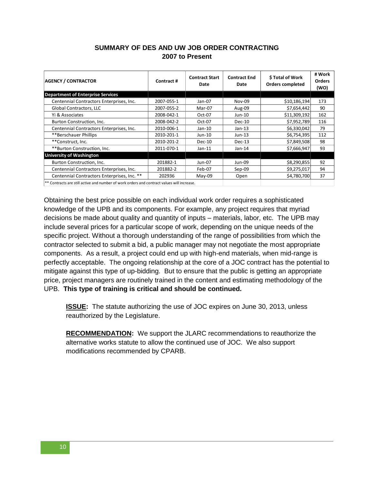#### **SUMMARY OF DES AND UW JOB ORDER CONTRACTING 2007 to Present**

| <b>AGENCY / CONTRACTOR</b>                  | Contract # | <b>Contract Start</b><br>Date | <b>Contract End</b><br>Date | <b>S</b> Total of Work<br><b>Orders completed</b> | # Work<br><b>Orders</b><br>(WO) |
|---------------------------------------------|------------|-------------------------------|-----------------------------|---------------------------------------------------|---------------------------------|
| <b>Department of Enterprise Services</b>    |            |                               |                             |                                                   |                                 |
| Centennial Contractors Enterprises, Inc.    | 2007-055-1 | Jan-07                        | <b>Nov-09</b>               | \$10,186,194                                      | 173                             |
| Global Contractors, LLC                     | 2007-055-2 | Mar-07                        | Aug-09                      | \$7,654,442                                       | 90                              |
| Yi & Associates                             | 2008-042-1 | Oct-07                        | Jun-10                      | \$11,309,192                                      | 162                             |
| Burton Construction, Inc.                   | 2008-042-2 | Oct-07                        | $Dec-10$                    | \$7,952,789                                       | 116                             |
| Centennial Contractors Enterprises, Inc.    | 2010-006-1 | Jan-10                        | $Jan-13$                    | \$6,330,042                                       | 79                              |
| **Berschauer Phillips                       | 2010-201-1 | Jun-10                        | Jun-13                      | \$6,754,395                                       | 112                             |
| **Construct, Inc.                           | 2010-201-2 | $Dec-10$                      | $Dec-13$                    | \$7,849,508                                       | 98                              |
| **Burton Construction, Inc.                 | 2011-070-1 | $Jan-11$                      | Jan-14                      | \$7,666,947                                       | 93                              |
| <b>University of Washington</b>             |            |                               |                             |                                                   |                                 |
| Burton Construction, Inc.                   | 201882-1   | Jun-07                        | Jun-09                      | \$8,290,855                                       | 92                              |
| Centennial Contractors Enterprises, Inc.    | 201882-2   | Feb-07                        | $Sep-09$                    | \$9,275,017                                       | 94                              |
| Centennial Contractors Enterprises, Inc. ** | 202936     | $May-09$                      | Open                        | \$4,780,700                                       | 37                              |
|                                             |            |                               |                             |                                                   |                                 |

\*\* Contracts are still active and number of work orders and contract values will increase.

Obtaining the best price possible on each individual work order requires a sophisticated knowledge of the UPB and its components. For example, any project requires that myriad decisions be made about quality and quantity of inputs – materials, labor, etc. The UPB may include several prices for a particular scope of work, depending on the unique needs of the specific project. Without a thorough understanding of the range of possibilities from which the contractor selected to submit a bid, a public manager may not negotiate the most appropriate components. As a result, a project could end up with high-end materials, when mid-range is perfectly acceptable. The ongoing relationship at the core of a JOC contract has the potential to mitigate against this type of up-bidding. But to ensure that the public is getting an appropriate price, project managers are routinely trained in the content and estimating methodology of the UPB. **This type of training is critical and should be continued.**

**ISSUE:** The statute authorizing the use of JOC expires on June 30, 2013, unless reauthorized by the Legislature.

**RECOMMENDATION:** We support the JLARC recommendations to reauthorize the alternative works statute to allow the continued use of JOC. We also support modifications recommended by CPARB.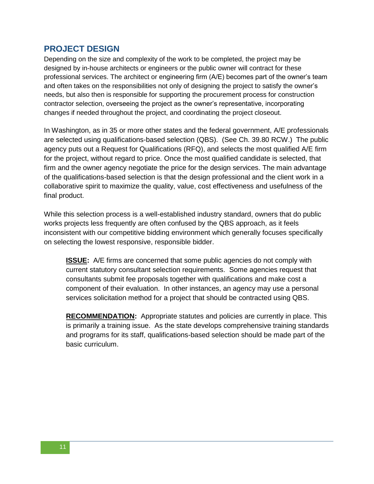### **PROJECT DESIGN**

Depending on the size and complexity of the work to be completed, the project may be designed by in-house architects or engineers or the public owner will contract for these professional services. The architect or engineering firm (A/E) becomes part of the owner"s team and often takes on the responsibilities not only of designing the project to satisfy the owner"s needs, but also then is responsible for supporting the procurement process for construction contractor selection, overseeing the project as the owner"s representative, incorporating changes if needed throughout the project, and coordinating the project closeout.

In Washington, as in 35 or more other states and the federal government, A/E professionals are selected using qualifications-based selection (QBS). (See Ch. 39.80 RCW.) The public agency puts out a Request for Qualifications (RFQ), and selects the most qualified A/E firm for the project, without regard to price. Once the most qualified candidate is selected, that firm and the owner agency negotiate the price for the design services. The main advantage of the qualifications-based selection is that the design professional and the client work in a collaborative spirit to maximize the quality, value, cost effectiveness and usefulness of the final product.

While this selection process is a well-established industry standard, owners that do public works projects less frequently are often confused by the QBS approach, as it feels inconsistent with our competitive bidding environment which generally focuses specifically on selecting the lowest responsive, responsible bidder.

**ISSUE:** A/E firms are concerned that some public agencies do not comply with current statutory consultant selection requirements. Some agencies request that consultants submit fee proposals together with qualifications and make cost a component of their evaluation. In other instances, an agency may use a personal services solicitation method for a project that should be contracted using QBS.

**RECOMMENDATION:** Appropriate statutes and policies are currently in place. This is primarily a training issue. As the state develops comprehensive training standards and programs for its staff, qualifications-based selection should be made part of the basic curriculum.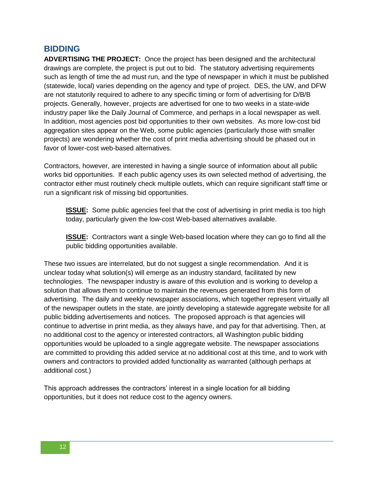### **BIDDING**

**ADVERTISING THE PROJECT:** Once the project has been designed and the architectural drawings are complete, the project is put out to bid. The statutory advertising requirements such as length of time the ad must run, and the type of newspaper in which it must be published (statewide, local) varies depending on the agency and type of project. DES, the UW, and DFW are not statutorily required to adhere to any specific timing or form of advertising for D/B/B projects. Generally, however, projects are advertised for one to two weeks in a state-wide industry paper like the Daily Journal of Commerce, and perhaps in a local newspaper as well. In addition, most agencies post bid opportunities to their own websites. As more low-cost bid aggregation sites appear on the Web, some public agencies (particularly those with smaller projects) are wondering whether the cost of print media advertising should be phased out in favor of lower-cost web-based alternatives.

Contractors, however, are interested in having a single source of information about all public works bid opportunities. If each public agency uses its own selected method of advertising, the contractor either must routinely check multiple outlets, which can require significant staff time or run a significant risk of missing bid opportunities.

**ISSUE:** Some public agencies feel that the cost of advertising in print media is too high today, particularly given the low-cost Web-based alternatives available.

**ISSUE:** Contractors want a single Web-based location where they can go to find all the public bidding opportunities available.

These two issues are interrelated, but do not suggest a single recommendation. And it is unclear today what solution(s) will emerge as an industry standard, facilitated by new technologies. The newspaper industry is aware of this evolution and is working to develop a solution that allows them to continue to maintain the revenues generated from this form of advertising. The daily and weekly newspaper associations, which together represent virtually all of the newspaper outlets in the state, are jointly developing a statewide aggregate website for all public bidding advertisements and notices. The proposed approach is that agencies will continue to advertise in print media, as they always have, and pay for that advertising. Then, at no additional cost to the agency or interested contractors, all Washington public bidding opportunities would be uploaded to a single aggregate website. The newspaper associations are committed to providing this added service at no additional cost at this time, and to work with owners and contractors to provided added functionality as warranted (although perhaps at additional cost.)

This approach addresses the contractors" interest in a single location for all bidding opportunities, but it does not reduce cost to the agency owners.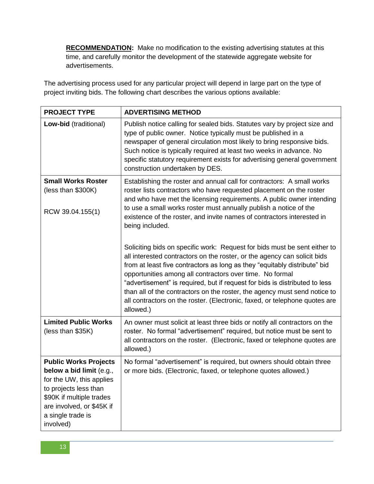**RECOMMENDATION:** Make no modification to the existing advertising statutes at this time, and carefully monitor the development of the statewide aggregate website for advertisements.

The advertising process used for any particular project will depend in large part on the type of project inviting bids. The following chart describes the various options available:

| <b>PROJECT TYPE</b>                                                                                                                                                                                      | <b>ADVERTISING METHOD</b>                                                                                                                                                                                                                                                                                                                                                                                                                                                                                                                             |
|----------------------------------------------------------------------------------------------------------------------------------------------------------------------------------------------------------|-------------------------------------------------------------------------------------------------------------------------------------------------------------------------------------------------------------------------------------------------------------------------------------------------------------------------------------------------------------------------------------------------------------------------------------------------------------------------------------------------------------------------------------------------------|
| Low-bid (traditional)                                                                                                                                                                                    | Publish notice calling for sealed bids. Statutes vary by project size and<br>type of public owner. Notice typically must be published in a<br>newspaper of general circulation most likely to bring responsive bids.<br>Such notice is typically required at least two weeks in advance. No<br>specific statutory requirement exists for advertising general government<br>construction undertaken by DES.                                                                                                                                            |
| <b>Small Works Roster</b><br>(less than \$300K)<br>RCW 39.04.155(1)                                                                                                                                      | Establishing the roster and annual call for contractors: A small works<br>roster lists contractors who have requested placement on the roster<br>and who have met the licensing requirements. A public owner intending<br>to use a small works roster must annually publish a notice of the<br>existence of the roster, and invite names of contractors interested in<br>being included.                                                                                                                                                              |
|                                                                                                                                                                                                          | Soliciting bids on specific work: Request for bids must be sent either to<br>all interested contractors on the roster, or the agency can solicit bids<br>from at least five contractors as long as they "equitably distribute" bid<br>opportunities among all contractors over time. No formal<br>"advertisement" is required, but if request for bids is distributed to less<br>than all of the contractors on the roster, the agency must send notice to<br>all contractors on the roster. (Electronic, faxed, or telephone quotes are<br>allowed.) |
| <b>Limited Public Works</b><br>(less than \$35K)                                                                                                                                                         | An owner must solicit at least three bids or notify all contractors on the<br>roster. No formal "advertisement" required, but notice must be sent to<br>all contractors on the roster. (Electronic, faxed or telephone quotes are<br>allowed.)                                                                                                                                                                                                                                                                                                        |
| <b>Public Works Projects</b><br>below a bid limit (e.g.,<br>for the UW, this applies<br>to projects less than<br>\$90K if multiple trades<br>are involved, or \$45K if<br>a single trade is<br>involved) | No formal "advertisement" is required, but owners should obtain three<br>or more bids. (Electronic, faxed, or telephone quotes allowed.)                                                                                                                                                                                                                                                                                                                                                                                                              |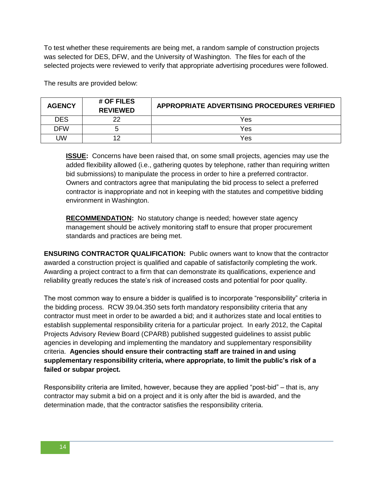To test whether these requirements are being met, a random sample of construction projects was selected for DES, DFW, and the University of Washington. The files for each of the selected projects were reviewed to verify that appropriate advertising procedures were followed.

The results are provided below:

| <b>AGENCY</b> | # OF FILES<br><b>REVIEWED</b> | APPROPRIATE ADVERTISING PROCEDURES VERIFIED |
|---------------|-------------------------------|---------------------------------------------|
| <b>DES</b>    | າາ                            | Yes                                         |
| DFW           |                               | Yes                                         |
| UW            |                               | Yes                                         |

**ISSUE:** Concerns have been raised that, on some small projects, agencies may use the added flexibility allowed (i.e., gathering quotes by telephone, rather than requiring written bid submissions) to manipulate the process in order to hire a preferred contractor. Owners and contractors agree that manipulating the bid process to select a preferred contractor is inappropriate and not in keeping with the statutes and competitive bidding environment in Washington.

**RECOMMENDATION:** No statutory change is needed; however state agency management should be actively monitoring staff to ensure that proper procurement standards and practices are being met.

**ENSURING CONTRACTOR QUALIFICATION:** Public owners want to know that the contractor awarded a construction project is qualified and capable of satisfactorily completing the work. Awarding a project contract to a firm that can demonstrate its qualifications, experience and reliability greatly reduces the state"s risk of increased costs and potential for poor quality.

The most common way to ensure a bidder is qualified is to incorporate "responsibility" criteria in the bidding process. RCW 39.04.350 sets forth mandatory responsibility criteria that any contractor must meet in order to be awarded a bid; and it authorizes state and local entities to establish supplemental responsibility criteria for a particular project. In early 2012, the Capital Projects Advisory Review Board (CPARB) published suggested guidelines to assist public agencies in developing and implementing the mandatory and supplementary responsibility criteria. **Agencies should ensure their contracting staff are trained in and using supplementary responsibility criteria, where appropriate, to limit the public's risk of a failed or subpar project.**

Responsibility criteria are limited, however, because they are applied "post-bid" – that is, any contractor may submit a bid on a project and it is only after the bid is awarded, and the determination made, that the contractor satisfies the responsibility criteria.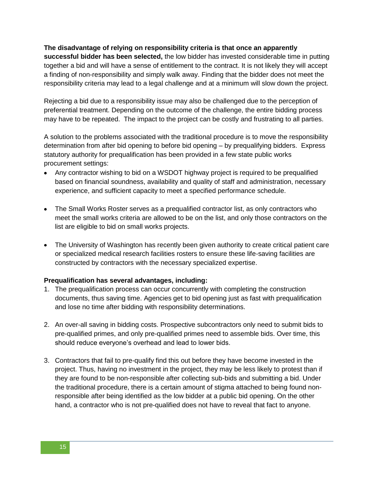#### **The disadvantage of relying on responsibility criteria is that once an apparently**

**successful bidder has been selected,** the low bidder has invested considerable time in putting together a bid and will have a sense of entitlement to the contract. It is not likely they will accept a finding of non-responsibility and simply walk away. Finding that the bidder does not meet the responsibility criteria may lead to a legal challenge and at a minimum will slow down the project.

Rejecting a bid due to a responsibility issue may also be challenged due to the perception of preferential treatment. Depending on the outcome of the challenge, the entire bidding process may have to be repeated. The impact to the project can be costly and frustrating to all parties.

A solution to the problems associated with the traditional procedure is to move the responsibility determination from after bid opening to before bid opening – by prequalifying bidders. Express statutory authority for prequalification has been provided in a few state public works procurement settings:

- Any contractor wishing to bid on a WSDOT highway project is required to be prequalified based on financial soundness, availability and quality of staff and administration, necessary experience, and sufficient capacity to meet a specified performance schedule.
- The Small Works Roster serves as a prequalified contractor list, as only contractors who meet the small works criteria are allowed to be on the list, and only those contractors on the list are eligible to bid on small works projects.
- The University of Washington has recently been given authority to create critical patient care or specialized medical research facilities rosters to ensure these life-saving facilities are constructed by contractors with the necessary specialized expertise.

#### **Prequalification has several advantages, including:**

- 1. The prequalification process can occur concurrently with completing the construction documents, thus saving time. Agencies get to bid opening just as fast with prequalification and lose no time after bidding with responsibility determinations.
- 2. An over-all saving in bidding costs. Prospective subcontractors only need to submit bids to pre-qualified primes, and only pre-qualified primes need to assemble bids. Over time, this should reduce everyone"s overhead and lead to lower bids.
- 3. Contractors that fail to pre-qualify find this out before they have become invested in the project. Thus, having no investment in the project, they may be less likely to protest than if they are found to be non-responsible after collecting sub-bids and submitting a bid. Under the traditional procedure, there is a certain amount of stigma attached to being found nonresponsible after being identified as the low bidder at a public bid opening. On the other hand, a contractor who is not pre-qualified does not have to reveal that fact to anyone.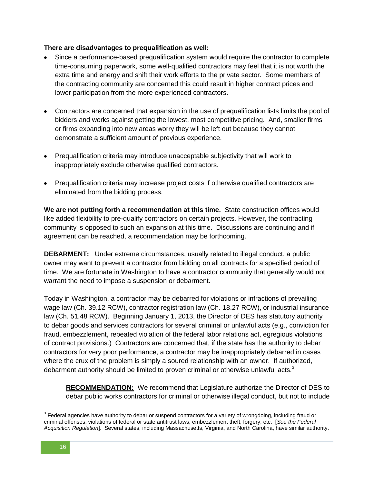#### **There are disadvantages to prequalification as well:**

- Since a performance-based prequalification system would require the contractor to complete time-consuming paperwork, some well-qualified contractors may feel that it is not worth the extra time and energy and shift their work efforts to the private sector. Some members of the contracting community are concerned this could result in higher contract prices and lower participation from the more experienced contractors.
- Contractors are concerned that expansion in the use of prequalification lists limits the pool of bidders and works against getting the lowest, most competitive pricing. And, smaller firms or firms expanding into new areas worry they will be left out because they cannot demonstrate a sufficient amount of previous experience.
- Prequalification criteria may introduce unacceptable subjectivity that will work to inappropriately exclude otherwise qualified contractors.
- Prequalification criteria may increase project costs if otherwise qualified contractors are eliminated from the bidding process.

**We are not putting forth a recommendation at this time.** State construction offices would like added flexibility to pre-qualify contractors on certain projects. However, the contracting community is opposed to such an expansion at this time. Discussions are continuing and if agreement can be reached, a recommendation may be forthcoming.

**DEBARMENT:** Under extreme circumstances, usually related to illegal conduct, a public owner may want to prevent a contractor from bidding on all contracts for a specified period of time. We are fortunate in Washington to have a contractor community that generally would not warrant the need to impose a suspension or debarment.

Today in Washington, a contractor may be debarred for violations or infractions of prevailing wage law (Ch. 39.12 RCW), contractor registration law (Ch. 18.27 RCW), or industrial insurance law (Ch. 51.48 RCW). Beginning January 1, 2013, the Director of DES has statutory authority to debar goods and services contractors for several criminal or unlawful acts (e.g., conviction for fraud, embezzlement, repeated violation of the federal labor relations act, egregious violations of contract provisions.) Contractors are concerned that, if the state has the authority to debar contractors for very poor performance, a contractor may be inappropriately debarred in cases where the crux of the problem is simply a soured relationship with an owner. If authorized, debarment authority should be limited to proven criminal or otherwise unlawful acts. $3$ 

**RECOMMENDATION:** We recommend that Legislature authorize the Director of DES to debar public works contractors for criminal or otherwise illegal conduct, but not to include

 $\overline{a}$ 

 $^3$  Federal agencies have authority to debar or suspend contractors for a variety of wrongdoing, including fraud or criminal offenses, violations of federal or state antitrust laws, embezzlement theft, forgery, etc. [*See the Federal Acquisition Regulation*]. Several states, including Massachusetts, Virginia, and North Carolina, have similar authority.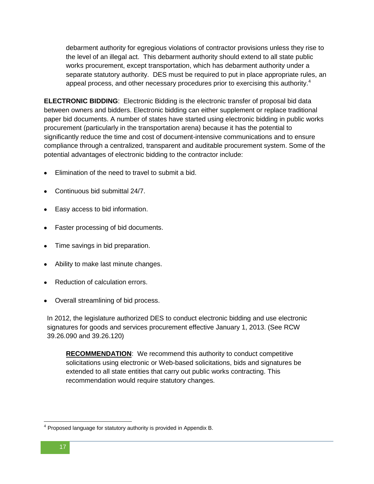debarment authority for egregious violations of contractor provisions unless they rise to the level of an illegal act. This debarment authority should extend to all state public works procurement, except transportation, which has debarment authority under a separate statutory authority. DES must be required to put in place appropriate rules, an appeal process, and other necessary procedures prior to exercising this authority.<sup>4</sup>

**ELECTRONIC BIDDING**: Electronic Bidding is the electronic transfer of proposal bid data between owners and bidders. Electronic bidding can either supplement or replace traditional paper bid documents. A number of states have started using electronic bidding in public works procurement (particularly in the transportation arena) because it has the potential to significantly reduce the time and cost of document-intensive communications and to ensure compliance through a centralized, transparent and auditable procurement system. Some of the potential advantages of electronic bidding to the contractor include:

- Elimination of the need to travel to submit a bid.
- Continuous bid submittal 24/7.
- Easy access to bid information.
- Faster processing of bid documents.
- Time savings in bid preparation.
- Ability to make last minute changes.
- Reduction of calculation errors.
- Overall streamlining of bid process.

In 2012, the legislature authorized DES to conduct electronic bidding and use electronic signatures for goods and services procurement effective January 1, 2013. (See RCW 39.26.090 and 39.26.120)

**RECOMMENDATION**: We recommend this authority to conduct competitive solicitations using electronic or Web-based solicitations, bids and signatures be extended to all state entities that carry out public works contracting. This recommendation would require statutory changes.

 4 Proposed language for statutory authority is provided in Appendix B.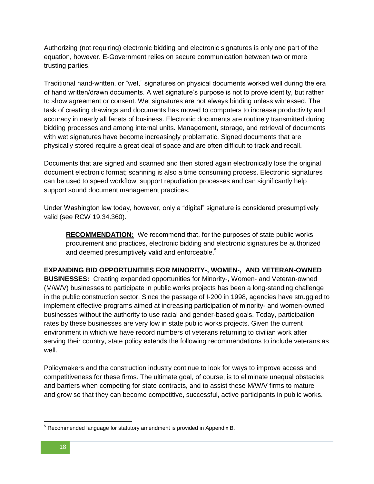Authorizing (not requiring) electronic bidding and electronic signatures is only one part of the equation, however. E-Government relies on secure communication between two or more trusting parties.

Traditional hand-written, or "wet," signatures on physical documents worked well during the era of hand written/drawn documents. A wet signature"s purpose is not to prove identity, but rather to show agreement or consent. Wet signatures are not always binding unless witnessed. The task of creating drawings and documents has moved to computers to increase productivity and accuracy in nearly all facets of business. Electronic documents are routinely transmitted during bidding processes and among internal units. Management, storage, and retrieval of documents with wet signatures have become increasingly problematic. Signed documents that are physically stored require a great deal of space and are often difficult to track and recall.

Documents that are signed and scanned and then stored again electronically lose the original document electronic format; scanning is also a time consuming process. Electronic signatures can be used to speed workflow, support repudiation processes and can significantly help support sound document management practices.

Under Washington law today, however, only a "digital" signature is considered presumptively valid (see RCW 19.34.360).

**RECOMMENDATION:** We recommend that, for the purposes of state public works procurement and practices, electronic bidding and electronic signatures be authorized and deemed presumptively valid and enforceable.<sup>5</sup>

**EXPANDING BID OPPORTUNITIES FOR MINORITY-, WOMEN-, AND VETERAN-OWNED BUSINESSES:** Creating expanded opportunities for Minority-, Women- and Veteran-owned

(M/W/V) businesses to participate in public works projects has been a long-standing challenge in the public construction sector. Since the passage of I-200 in 1998, agencies have struggled to implement effective programs aimed at increasing participation of minority- and women-owned businesses without the authority to use racial and gender-based goals. Today, participation rates by these businesses are very low in state public works projects. Given the current environment in which we have record numbers of veterans returning to civilian work after serving their country, state policy extends the following recommendations to include veterans as well.

Policymakers and the construction industry continue to look for ways to improve access and competitiveness for these firms. The ultimate goal, of course, is to eliminate unequal obstacles and barriers when competing for state contracts, and to assist these M/W/V firms to mature and grow so that they can become competitive, successful, active participants in public works.

l  $5$  Recommended language for statutory amendment is provided in Appendix B.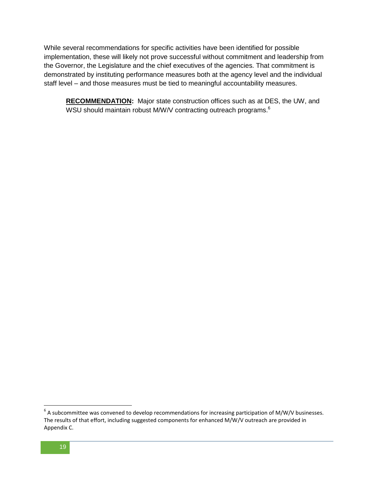While several recommendations for specific activities have been identified for possible implementation, these will likely not prove successful without commitment and leadership from the Governor, the Legislature and the chief executives of the agencies. That commitment is demonstrated by instituting performance measures both at the agency level and the individual staff level – and those measures must be tied to meaningful accountability measures.

**RECOMMENDATION:** Major state construction offices such as at DES, the UW, and WSU should maintain robust M/W/V contracting outreach programs. $^{\rm 6}$ 

l

 $^6$  A subcommittee was convened to develop recommendations for increasing participation of M/W/V businesses. The results of that effort, including suggested components for enhanced M/W/V outreach are provided in Appendix C.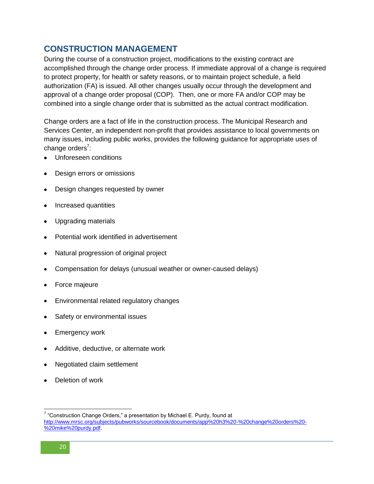## **CONSTRUCTION MANAGEMENT**

During the course of a construction project, modifications to the existing contract are accomplished through the change order process. If immediate approval of a change is required to protect property, for health or safety reasons, or to maintain project schedule, a field authorization (FA) is issued. All other changes usually occur through the development and approval of a change order proposal (COP). Then, one or more FA and/or COP may be combined into a single change order that is submitted as the actual contract modification.

Change orders are a fact of life in the construction process. The Municipal Research and Services Center, an independent non-profit that provides assistance to local governments on many issues, including public works, provides the following guidance for appropriate uses of change orders<sup>7</sup>:

- Unforeseen conditions
- Design errors or omissions
- Design changes requested by owner
- Increased quantities
- Upgrading materials
- Potential work identified in advertisement
- Natural progression of original project
- Compensation for delays (unusual weather or owner-caused delays)
- Force majeure
- Environmental related regulatory changes
- Safety or environmental issues
- Emergency work
- Additive, deductive, or alternate work
- Negotiated claim settlement
- Deletion of work

 $\overline{a}$ 

 $7$  "Construction Change Orders," a presentation by Michael E. Purdy, found at [http://www.mrsc.org/subjects/pubworks/sourcebook/documents/app%20h3%20-%20change%20orders%20-](http://www.mrsc.org/subjects/pubworks/sourcebook/documents/app%20h3%20-%20change%20orders%20-%20mike%20purdy.pdf) [%20mike%20purdy.pdf.](http://www.mrsc.org/subjects/pubworks/sourcebook/documents/app%20h3%20-%20change%20orders%20-%20mike%20purdy.pdf)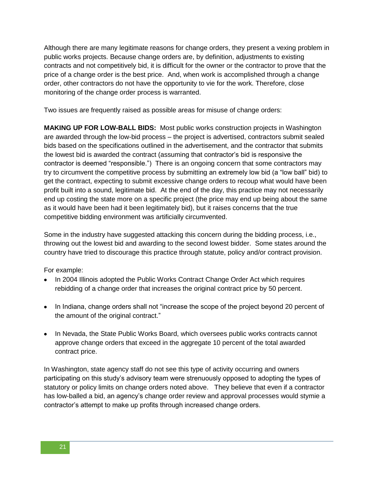Although there are many legitimate reasons for change orders, they present a vexing problem in public works projects. Because change orders are, by definition, adjustments to existing contracts and not competitively bid, it is difficult for the owner or the contractor to prove that the price of a change order is the best price. And, when work is accomplished through a change order, other contractors do not have the opportunity to vie for the work. Therefore, close monitoring of the change order process is warranted.

Two issues are frequently raised as possible areas for misuse of change orders:

**MAKING UP FOR LOW-BALL BIDS:** Most public works construction projects in Washington are awarded through the low-bid process – the project is advertised, contractors submit sealed bids based on the specifications outlined in the advertisement, and the contractor that submits the lowest bid is awarded the contract (assuming that contractor"s bid is responsive the contractor is deemed "responsible.") There is an ongoing concern that some contractors may try to circumvent the competitive process by submitting an extremely low bid (a "low ball" bid) to get the contract, expecting to submit excessive change orders to recoup what would have been profit built into a sound, legitimate bid. At the end of the day, this practice may not necessarily end up costing the state more on a specific project (the price may end up being about the same as it would have been had it been legitimately bid), but it raises concerns that the true competitive bidding environment was artificially circumvented.

Some in the industry have suggested attacking this concern during the bidding process, i.e., throwing out the lowest bid and awarding to the second lowest bidder. Some states around the country have tried to discourage this practice through statute, policy and/or contract provision.

For example:

- In 2004 Illinois adopted the Public Works Contract Change Order Act which requires rebidding of a change order that increases the original contract price by 50 percent.
- In Indiana, change orders shall not "increase the scope of the project beyond 20 percent of the amount of the original contract."
- In Nevada, the State Public Works Board, which oversees public works contracts cannot approve change orders that exceed in the aggregate 10 percent of the total awarded contract price.

In Washington, state agency staff do not see this type of activity occurring and owners participating on this study"s advisory team were strenuously opposed to adopting the types of statutory or policy limits on change orders noted above. They believe that even if a contractor has low-balled a bid, an agency"s change order review and approval processes would stymie a contractor"s attempt to make up profits through increased change orders.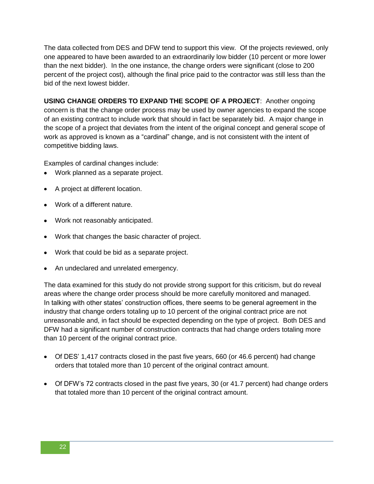The data collected from DES and DFW tend to support this view. Of the projects reviewed, only one appeared to have been awarded to an extraordinarily low bidder (10 percent or more lower than the next bidder). In the one instance, the change orders were significant (close to 200 percent of the project cost), although the final price paid to the contractor was still less than the bid of the next lowest bidder.

**USING CHANGE ORDERS TO EXPAND THE SCOPE OF A PROJECT**: Another ongoing concern is that the change order process may be used by owner agencies to expand the scope of an existing contract to include work that should in fact be separately bid. A major change in the scope of a project that deviates from the intent of the original concept and general scope of work as approved is known as a "cardinal" change, and is not consistent with the intent of competitive bidding laws.

Examples of cardinal changes include:

- Work planned as a separate project.
- A project at different location.
- Work of a different nature.
- Work not reasonably anticipated.
- Work that changes the basic character of project.
- Work that could be bid as a separate project.
- An undeclared and unrelated emergency.

The data examined for this study do not provide strong support for this criticism, but do reveal areas where the change order process should be more carefully monitored and managed. In talking with other states" construction offices, there seems to be general agreement in the industry that change orders totaling up to 10 percent of the original contract price are not unreasonable and, in fact should be expected depending on the type of project. Both DES and DFW had a significant number of construction contracts that had change orders totaling more than 10 percent of the original contract price.

- Of DES" 1,417 contracts closed in the past five years, 660 (or 46.6 percent) had change orders that totaled more than 10 percent of the original contract amount.
- Of DFW"s 72 contracts closed in the past five years, 30 (or 41.7 percent) had change orders that totaled more than 10 percent of the original contract amount.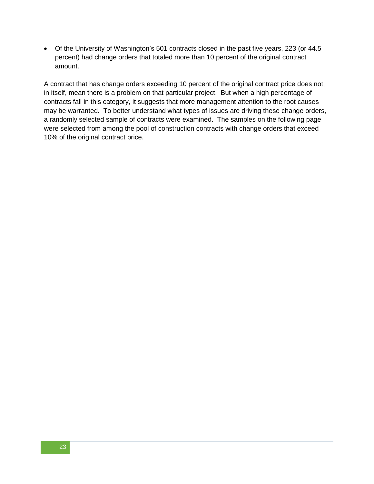Of the University of Washington"s 501 contracts closed in the past five years, 223 (or 44.5 percent) had change orders that totaled more than 10 percent of the original contract amount.

A contract that has change orders exceeding 10 percent of the original contract price does not, in itself, mean there is a problem on that particular project. But when a high percentage of contracts fall in this category, it suggests that more management attention to the root causes may be warranted. To better understand what types of issues are driving these change orders, a randomly selected sample of contracts were examined. The samples on the following page were selected from among the pool of construction contracts with change orders that exceed 10% of the original contract price.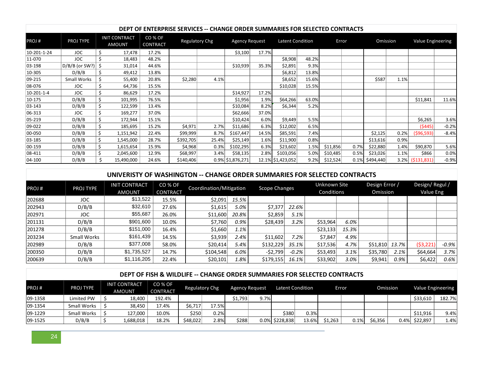|                  | PROJ TYPE          | <b>INIT CONTRACT</b><br><b>AMOUNT</b> |                                       | CO % OF<br><b>CONTRACT</b> |                     | <b>Regulatory Chg</b> |                                                                          | <b>Agency Request</b> |               |                      | Latent Condition        |                                   | Error | Omission                   |          | <b>Value Engineering</b>          |         |
|------------------|--------------------|---------------------------------------|---------------------------------------|----------------------------|---------------------|-----------------------|--------------------------------------------------------------------------|-----------------------|---------------|----------------------|-------------------------|-----------------------------------|-------|----------------------------|----------|-----------------------------------|---------|
| 10-201-1-24      | JOC                | \$                                    | 17,478                                | 17.2%                      |                     |                       |                                                                          | \$3,100               | 17.7%         |                      |                         |                                   |       |                            |          |                                   |         |
| 11-070           | <b>JOC</b>         | \$                                    | 18,483                                | 48.2%                      |                     |                       |                                                                          |                       |               | \$8,908              | 48.2%                   |                                   |       |                            |          |                                   |         |
| 03-198           | D/B(B (or SW?)     |                                       | 31,014                                | 44.6%                      |                     |                       |                                                                          | \$10,939              | 35.3%         | \$2,891              | 9.3%                    |                                   |       |                            |          |                                   |         |
| 10-305           | D/B/B              | \$                                    | 49,412                                | 13.8%                      |                     |                       |                                                                          |                       |               | \$6,812              | 13.8%                   |                                   |       |                            |          |                                   |         |
| 09-215           | Small Works        | \$                                    | 55,400                                | 20.8%                      |                     | \$2,280               | 4.1%                                                                     |                       |               | \$8,652              | 15.6%                   |                                   |       | \$587                      | 1.1%     |                                   |         |
| 08-076           | <b>JOC</b>         | \$                                    | 64,736                                | 15.5%                      |                     |                       |                                                                          |                       |               | \$10,028             | 15.5%                   |                                   |       |                            |          |                                   |         |
| $10-201-1-4$     | JOC                | \$                                    | 86,629                                | 17.2%                      |                     |                       |                                                                          | \$14,927              | 17.2%         |                      |                         |                                   |       |                            |          |                                   |         |
| 10-175           | D/B/B              | \$                                    | 101,995                               | 76.5%                      |                     |                       |                                                                          | \$1,956               | 1.9%          | \$64,266             | 63.0%                   |                                   |       |                            |          | \$11.841                          | 11.6%   |
| 03-143           | D/B/B              | \$                                    | 122,599                               | 13.4%                      |                     |                       |                                                                          | \$10,084              | 8.2%          | \$6,344              | 5.2%                    |                                   |       |                            |          |                                   |         |
| 06-313           | <b>JOC</b>         | \$                                    | 169,277                               | 37.0%                      |                     |                       |                                                                          | \$62,666              | 37.0%         |                      |                         |                                   |       |                            |          |                                   |         |
| 05-219           | D/B/B              | \$                                    | 172,944                               | 15.1%                      |                     |                       |                                                                          | \$10,424              | 6.0%          | \$9,449              | 5.5%                    |                                   |       |                            |          | \$6,265                           | 3.6%    |
| 09-022           | D/B/B              | \$<br>\$                              | 185,695                               | 15.2%<br>22.4%             |                     | \$4,971               | 2.7%<br>8.7%                                                             | \$11,686              | 6.3%<br>14.5% | \$12,002             | 6.5%<br>7.4%            |                                   |       |                            | 0.2%     | (5445)                            | $-0.2%$ |
| 00-050<br>03-185 | D/B/B<br>D/B/B     | \$                                    | 1,151,942<br>1,545,000                | 28.7%                      |                     | \$99,999<br>\$392,705 | 25.4%                                                                    | \$167,447<br>\$25,149 | 1.6%          | \$85,591<br>\$11,900 | 0.8%                    |                                   |       | \$2,125<br>\$13,616        | 0.9%     | ( \$96, 593)                      | $-8.4%$ |
| 00-159           | D/B/B              | \$                                    | 1,615,654                             | 15.9%                      |                     | \$4,968               | 0.3%                                                                     | \$102,295             | 6.3%          | \$23,602             | 1.5%                    | \$11,856                          | 0.7%  | \$22,880                   | 1.4%     | \$90,870                          | 5.6%    |
| 08-411           | D/B/B              | \$                                    | 2,045,600                             | 12.9%                      |                     | \$68,997              | 3.4%                                                                     | \$58,135              | 2.8%          | \$103,056            | 5.0%                    | \$10,485                          | 0.5%  | \$23,026                   | 1.1%     | \$866                             | 0.0%    |
| 04-100           | D/B/B              | $\mathsf{S}$                          | 15,490,000                            | 24.6%                      |                     | \$140,406             |                                                                          | 0.9% \$1,876,271      |               | 12.1% \$1,423,052    | 9.2%                    | \$12,524                          | 0.1%  | \$494,440                  | 3.2%     | (5131,831)                        | $-0.9%$ |
| PROJ#            | PROJ TYPE          |                                       | <b>INIT CONTRACT</b><br><b>AMOUNT</b> |                            | CO % OF<br>CONTRACT |                       | Coordination/Mitigation                                                  |                       |               | Scope Changes        |                         | <b>Unknown Site</b><br>Conditions |       | Design Error /<br>Omission |          | Design/Regul/<br><b>Value Eng</b> |         |
| 202688           | <b>JOC</b>         |                                       |                                       | \$13,522                   | 15.5%               |                       | \$2,091                                                                  | 15.5%                 |               |                      |                         |                                   |       |                            |          |                                   |         |
| 202943           | D/B/B              |                                       |                                       | \$32,610                   | 27.6%               |                       | \$1,615                                                                  | 5.0%                  |               | \$7,377              | 22.6%                   |                                   |       |                            |          |                                   |         |
| 202971           | JOC                |                                       |                                       | \$55,687                   | 26.0%               |                       | \$11,600                                                                 | 20.8%                 |               | \$2,859              | 5.1%                    |                                   |       |                            |          |                                   |         |
| 201131           | D/B/B              |                                       |                                       | \$901,600                  | 10.0%               |                       | \$7,760                                                                  | 0.9%                  |               | \$28,439             | 3.2%                    | \$53,964                          | 6.0%  |                            |          |                                   |         |
| 201278           | D/B/B              |                                       |                                       | \$151,000                  | 16.4%               |                       | \$1,660                                                                  | 1.1%                  |               |                      |                         | \$23,133                          | 15.3% |                            |          |                                   |         |
| 203234           | Small Works        |                                       |                                       | \$161,439                  | 14.5%               |                       | \$3,939                                                                  | 2.4%                  |               | \$11,602             | 7.2%                    | \$7,847                           | 4.9%  |                            |          |                                   |         |
| 202989           | D/B/B              |                                       | \$377,008                             |                            | 58.0%               |                       | \$20,414                                                                 | 5.4%                  |               | \$132,229            | 35.1%                   | \$17,536                          | 4.7%  | \$51,810                   | 13.7%    | (53, 221)                         | $-0.9%$ |
| 200350           | D/B/B              |                                       | \$1,735,527                           |                            | 14.7%               |                       | \$104,548                                                                | 6.0%                  |               | $-52,799$            | $-0.2%$                 | \$53,493                          | 3.1%  | \$35,780                   | 2.1%     | \$64,664                          | 3.7%    |
| 200639           | D/B/B              |                                       | \$1,116,205                           |                            | 22.4%               |                       | \$20,101                                                                 | 1.8%                  |               | \$179,155            | 16.1%                   | \$33,902                          | 3.0%  | \$9.941                    | 0.9%     | \$6,422                           | 0.6%    |
|                  |                    |                                       |                                       |                            |                     |                       | DEPT OF FISH & WILDLIFE -- CHANGE ORDER SUMMARIES FOR SELECTED CONTRACTS |                       |               |                      |                         |                                   |       |                            |          |                                   |         |
| PROJ#            | PROJ TYPE          |                                       | <b>INIT CONTRACT</b><br><b>AMOUNT</b> |                            | CO % OF<br>CONTRACT |                       | <b>Regulatory Chg</b>                                                    | <b>Agency Request</b> |               |                      | <b>Latent Condition</b> |                                   | Error |                            | Omission | Value Engineering                 |         |
| 09-1358          | <b>Limited PW</b>  | \$                                    | 18,400                                |                            | 192.4%              |                       |                                                                          | \$1,793               | 9.7%          |                      |                         |                                   |       |                            |          | \$33,610                          | 182.7%  |
| 09-1354          | <b>Small Works</b> |                                       | \$<br>38,450                          |                            | 17.4%               | \$6,717               | 17.5%                                                                    |                       |               |                      |                         |                                   |       |                            |          |                                   |         |
| 09-1229          | <b>Small Works</b> | $\zeta$                               | 127,000                               |                            | 10.0%               | \$250                 | 0.2%                                                                     |                       |               | \$380                | 0.3%                    |                                   |       |                            |          | \$11,916                          | 9.4%    |
|                  |                    | \$                                    |                                       |                            |                     | \$48,022              | 2.8%                                                                     | \$288                 |               | 0.0% \$228,838       | 13.6%                   | \$1,263                           | 0.1%  | \$6,356                    | 0.4%     | \$22,897                          | 1.4%    |

#### **DEPT OF ENTERPRISE SERVICES -- CHANGE ORDER SUMMARIES FOR SELECTED CONTRACTS**

#### **UNIVERISTY OF WASHINGTON -- CHANGE ORDER SUMMARIES FOR SELECTED CONTRACTS**

| PROJ#  | PROJ TYPE   | <b>INIT CONTRACT</b><br><b>AMOUNT</b> | CO % OF<br><b>CONTRACT</b> | Coordination/Mitigation |       | Scope Changes |         | Unknown Site<br>Conditions |       | Design Error /<br>Omission |       | Design/Regul/<br>Value Eng |         |
|--------|-------------|---------------------------------------|----------------------------|-------------------------|-------|---------------|---------|----------------------------|-------|----------------------------|-------|----------------------------|---------|
| 202688 | JOC         | \$13,522                              | 15.5%                      | \$2,091                 | 15.5% |               |         |                            |       |                            |       |                            |         |
| 202943 | D/B/B       | \$32,610                              | 27.6%                      | \$1,615                 | 5.0%  | \$7,377       | 22.6%   |                            |       |                            |       |                            |         |
| 202971 | JOC.        | \$55,687                              | 26.0%                      | \$11,600                | 20.8% | \$2,859       | 5.1%    |                            |       |                            |       |                            |         |
| 201131 | D/B/B       | \$901,600                             | 10.0%                      | \$7,760                 | 0.9%  | \$28,439      | 3.2%    | \$53,964                   | 6.0%  |                            |       |                            |         |
| 201278 | D/B/B       | \$151,000                             | 16.4%                      | \$1,660                 | 1.1%  |               |         | \$23,133                   | 15.3% |                            |       |                            |         |
| 203234 | Small Works | \$161,439                             | 14.5%                      | \$3,939                 | 2.4%  | \$11,602      | 7.2%    | \$7.847                    | 4.9%  |                            |       |                            |         |
| 202989 | D/B/B       | \$377,008                             | 58.0%                      | \$20,414                | 5.4%  | \$132,229     | 35.1%   | \$17,536                   | 4.7%  | \$51,810                   | 13.7% | (53, 221)                  | $-0.9%$ |
| 200350 | D/B/B       | \$1,735,527                           | 14.7%                      | \$104,548               | 6.0%  | $-52,799$     | $-0.2%$ | \$53,493                   | 3.1%  | \$35,780                   | 2.1%  | \$64,664                   | 3.7%    |
| 200639 | D/B/B       | \$1,116,205                           | 22.4%                      | \$20,101                | 1.8%  | \$179,155     | 16.1%   | \$33,902                   | 3.0%  | \$9,941                    | 0.9%  | \$6,422                    | 0.6%    |

| PROJ#       | <b>PROJ TYPE</b>   | <b>INIT CONTRACT</b><br><b>AMOUNT</b> | CO % OF<br><b>CONTRACT</b> | Regulatory Chg |       | <b>Agency Request</b> |      | Latent Condition |       | Error   |      | Omission |  | Value Engineering |        |
|-------------|--------------------|---------------------------------------|----------------------------|----------------|-------|-----------------------|------|------------------|-------|---------|------|----------|--|-------------------|--------|
| $ 09-1358 $ | <b>Limited PW</b>  | 18,400                                | 192.4%                     |                |       | \$1,793               | 9.7% |                  |       |         |      |          |  | \$33,610          | 182.7% |
| 09-1354     | <b>Small Works</b> | 38,450                                | 17.4%                      | \$6,717        | 17.5% |                       |      |                  |       |         |      |          |  |                   |        |
| 09-1229     | <b>Small Works</b> | 127,000                               | 10.0%                      | \$250          | 0.2%  |                       |      | \$380            | 0.3%  |         |      |          |  | \$11,916          | 9.4%   |
| 09-1525     | D/B/B              | 1,688,018                             | 18.2%                      | \$48,022       | 2.8%  | \$288                 |      | 0.0% \$228,838   | 13.6% | \$1,263 | 0.1% | \$6,356  |  | 0.4% \$22,897     | 1.4%   |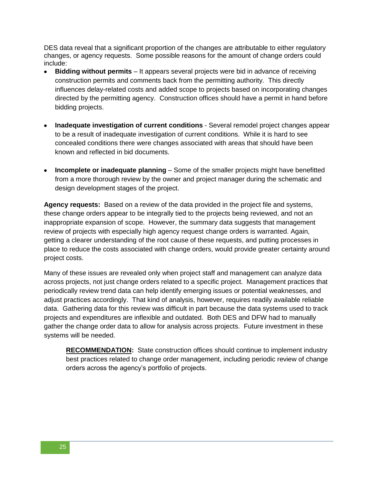DES data reveal that a significant proportion of the changes are attributable to either regulatory changes, or agency requests. Some possible reasons for the amount of change orders could include:

- **Bidding without permits** It appears several projects were bid in advance of receiving construction permits and comments back from the permitting authority. This directly influences delay-related costs and added scope to projects based on incorporating changes directed by the permitting agency. Construction offices should have a permit in hand before bidding projects.
- **Inadequate investigation of current conditions** Several remodel project changes appear to be a result of inadequate investigation of current conditions. While it is hard to see concealed conditions there were changes associated with areas that should have been known and reflected in bid documents.
- **Incomplete or inadequate planning** Some of the smaller projects might have benefitted from a more thorough review by the owner and project manager during the schematic and design development stages of the project.

**Agency requests:** Based on a review of the data provided in the project file and systems, these change orders appear to be integrally tied to the projects being reviewed, and not an inappropriate expansion of scope. However, the summary data suggests that management review of projects with especially high agency request change orders is warranted. Again, getting a clearer understanding of the root cause of these requests, and putting processes in place to reduce the costs associated with change orders, would provide greater certainty around project costs.

Many of these issues are revealed only when project staff and management can analyze data across projects, not just change orders related to a specific project. Management practices that periodically review trend data can help identify emerging issues or potential weaknesses, and adjust practices accordingly. That kind of analysis, however, requires readily available reliable data. Gathering data for this review was difficult in part because the data systems used to track projects and expenditures are inflexible and outdated. Both DES and DFW had to manually gather the change order data to allow for analysis across projects. Future investment in these systems will be needed.

**RECOMMENDATION:** State construction offices should continue to implement industry best practices related to change order management, including periodic review of change orders across the agency"s portfolio of projects.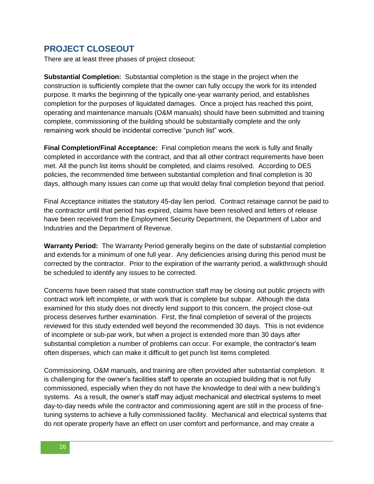## **PROJECT CLOSEOUT**

There are at least three phases of project closeout:

**Substantial Completion:** Substantial completion is the stage in the project when the construction is sufficiently complete that the owner can fully occupy the work for its intended purpose. It marks the beginning of the typically one-year warranty period, and establishes completion for the purposes of liquidated damages. Once a project has reached this point, operating and maintenance manuals (O&M manuals) should have been submitted and training complete, commissioning of the building should be substantially complete and the only remaining work should be incidental corrective "punch list" work.

**Final Completion/Final Acceptance:** Final completion means the work is fully and finally completed in accordance with the contract, and that all other contract requirements have been met. All the punch list items should be completed, and claims resolved. According to DES policies, the recommended time between substantial completion and final completion is 30 days, although many issues can come up that would delay final completion beyond that period.

Final Acceptance initiates the statutory 45-day lien period. Contract retainage cannot be paid to the contractor until that period has expired, claims have been resolved and letters of release have been received from the Employment Security Department, the Department of Labor and Industries and the Department of Revenue.

**Warranty Period:** The Warranty Period generally begins on the date of substantial completion and extends for a minimum of one full year. Any deficiencies arising during this period must be corrected by the contractor. Prior to the expiration of the warranty period, a walkthrough should be scheduled to identify any issues to be corrected.

Concerns have been raised that state construction staff may be closing out public projects with contract work left incomplete, or with work that is complete but subpar. Although the data examined for this study does not directly lend support to this concern, the project close-out process deserves further examination. First, the final completion of several of the projects reviewed for this study extended well beyond the recommended 30 days. This is not evidence of incomplete or sub-par work, but when a project is extended more than 30 days after substantial completion a number of problems can occur. For example, the contractor's team often disperses, which can make it difficult to get punch list items completed.

Commissioning, O&M manuals, and training are often provided after substantial completion. It is challenging for the owner"s facilities staff to operate an occupied building that is not fully commissioned, especially when they do not have the knowledge to deal with a new building"s systems. As a result, the owner"s staff may adjust mechanical and electrical systems to meet day-to-day needs while the contractor and commissioning agent are still in the process of finetuning systems to achieve a fully commissioned facility. Mechanical and electrical systems that do not operate properly have an effect on user comfort and performance, and may create a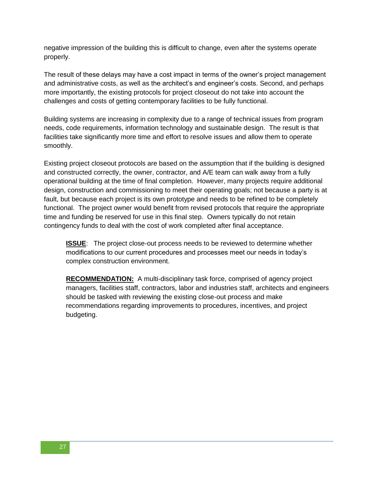negative impression of the building this is difficult to change, even after the systems operate properly.

The result of these delays may have a cost impact in terms of the owner"s project management and administrative costs, as well as the architect's and engineer's costs. Second, and perhaps more importantly, the existing protocols for project closeout do not take into account the challenges and costs of getting contemporary facilities to be fully functional.

Building systems are increasing in complexity due to a range of technical issues from program needs, code requirements, information technology and sustainable design. The result is that facilities take significantly more time and effort to resolve issues and allow them to operate smoothly.

Existing project closeout protocols are based on the assumption that if the building is designed and constructed correctly, the owner, contractor, and A/E team can walk away from a fully operational building at the time of final completion. However, many projects require additional design, construction and commissioning to meet their operating goals; not because a party is at fault, but because each project is its own prototype and needs to be refined to be completely functional. The project owner would benefit from revised protocols that require the appropriate time and funding be reserved for use in this final step. Owners typically do not retain contingency funds to deal with the cost of work completed after final acceptance.

**ISSUE**: The project close-out process needs to be reviewed to determine whether modifications to our current procedures and processes meet our needs in today"s complex construction environment.

**RECOMMENDATION:** A multi-disciplinary task force, comprised of agency project managers, facilities staff, contractors, labor and industries staff, architects and engineers should be tasked with reviewing the existing close-out process and make recommendations regarding improvements to procedures, incentives, and project budgeting.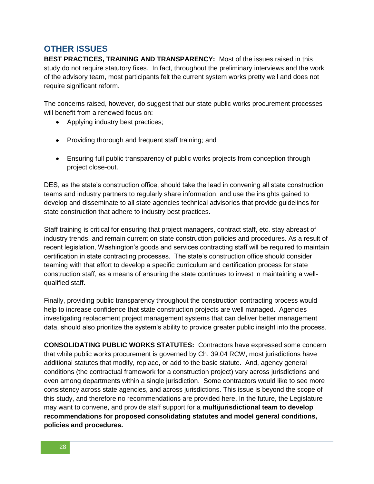## **OTHER ISSUES**

**BEST PRACTICES, TRAINING AND TRANSPARENCY:** Most of the issues raised in this study do not require statutory fixes. In fact, throughout the preliminary interviews and the work of the advisory team, most participants felt the current system works pretty well and does not require significant reform.

The concerns raised, however, do suggest that our state public works procurement processes will benefit from a renewed focus on:

- Applying industry best practices;
- Providing thorough and frequent staff training; and
- Ensuring full public transparency of public works projects from conception through project close-out.

DES, as the state's construction office, should take the lead in convening all state construction teams and industry partners to regularly share information, and use the insights gained to develop and disseminate to all state agencies technical advisories that provide guidelines for state construction that adhere to industry best practices.

Staff training is critical for ensuring that project managers, contract staff, etc. stay abreast of industry trends, and remain current on state construction policies and procedures. As a result of recent legislation, Washington's goods and services contracting staff will be required to maintain certification in state contracting processes. The state"s construction office should consider teaming with that effort to develop a specific curriculum and certification process for state construction staff, as a means of ensuring the state continues to invest in maintaining a wellqualified staff.

Finally, providing public transparency throughout the construction contracting process would help to increase confidence that state construction projects are well managed. Agencies investigating replacement project management systems that can deliver better management data, should also prioritize the system"s ability to provide greater public insight into the process.

**CONSOLIDATING PUBLIC WORKS STATUTES:** Contractors have expressed some concern that while public works procurement is governed by Ch. 39.04 RCW, most jurisdictions have additional statutes that modify, replace, or add to the basic statute. And, agency general conditions (the contractual framework for a construction project) vary across jurisdictions and even among departments within a single jurisdiction. Some contractors would like to see more consistency across state agencies, and across jurisdictions. This issue is beyond the scope of this study, and therefore no recommendations are provided here. In the future, the Legislature may want to convene, and provide staff support for a **multijurisdictional team to develop recommendations for proposed consolidating statutes and model general conditions, policies and procedures.**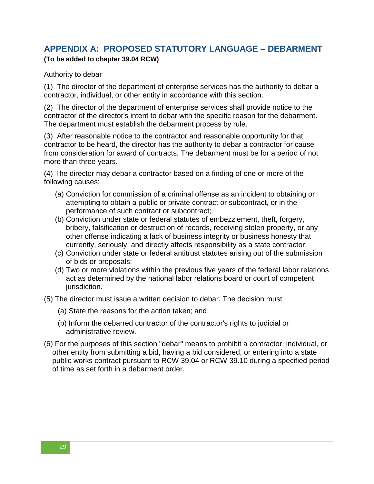## **APPENDIX A: PROPOSED STATUTORY LANGUAGE – DEBARMENT**

#### **(To be added to chapter 39.04 RCW)**

Authority to debar

(1) The director of the department of enterprise services has the authority to debar a contractor, individual, or other entity in accordance with this section.

(2) The director of the department of enterprise services shall provide notice to the contractor of the director's intent to debar with the specific reason for the debarment. The department must establish the debarment process by rule.

(3) After reasonable notice to the contractor and reasonable opportunity for that contractor to be heard, the director has the authority to debar a contractor for cause from consideration for award of contracts. The debarment must be for a period of not more than three years.

(4) The director may debar a contractor based on a finding of one or more of the following causes:

- (a) Conviction for commission of a criminal offense as an incident to obtaining or attempting to obtain a public or private contract or subcontract, or in the performance of such contract or subcontract;
- (b) Conviction under state or federal statutes of embezzlement, theft, forgery, bribery, falsification or destruction of records, receiving stolen property, or any other offense indicating a lack of business integrity or business honesty that currently, seriously, and directly affects responsibility as a state contractor;
- (c) Conviction under state or federal antitrust statutes arising out of the submission of bids or proposals;
- (d) Two or more violations within the previous five years of the federal labor relations act as determined by the national labor relations board or court of competent jurisdiction.
- (5) The director must issue a written decision to debar. The decision must:
	- (a) State the reasons for the action taken; and
	- (b) Inform the debarred contractor of the contractor's rights to judicial or administrative review.
- (6) For the purposes of this section "debar" means to prohibit a contractor, individual, or other entity from submitting a bid, having a bid considered, or entering into a state public works contract pursuant to RCW 39.04 or RCW 39.10 during a specified period of time as set forth in a debarment order.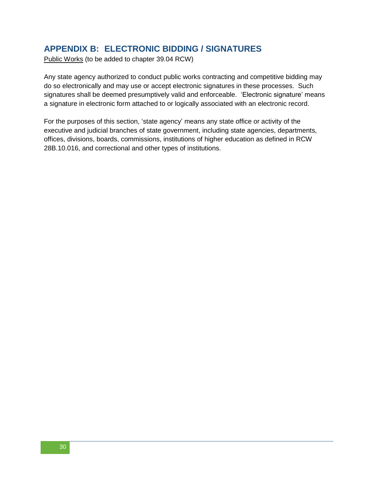## **APPENDIX B: ELECTRONIC BIDDING / SIGNATURES**

Public Works (to be added to chapter 39.04 RCW)

Any state agency authorized to conduct public works contracting and competitive bidding may do so electronically and may use or accept electronic signatures in these processes. Such signatures shall be deemed presumptively valid and enforceable. 'Electronic signature' means a signature in electronic form attached to or logically associated with an electronic record.

For the purposes of this section, "state agency" means any state office or activity of the executive and judicial branches of state government, including state agencies, departments, offices, divisions, boards, commissions, institutions of higher education as defined in RCW [28B.10.016,](http://apps.leg.wa.gov/rcw/default.aspx?cite=28B.10.016) and correctional and other types of institutions.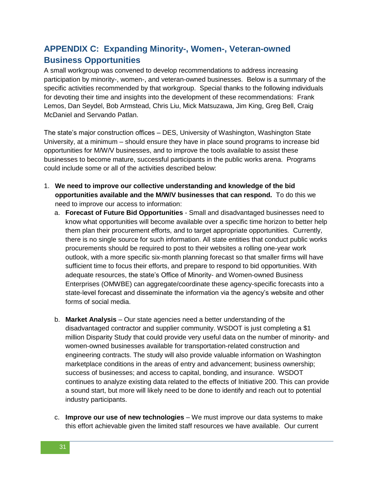## **APPENDIX C: Expanding Minority-, Women-, Veteran-owned Business Opportunities**

A small workgroup was convened to develop recommendations to address increasing participation by minority-, women-, and veteran-owned businesses. Below is a summary of the specific activities recommended by that workgroup. Special thanks to the following individuals for devoting their time and insights into the development of these recommendations: Frank Lemos, Dan Seydel, Bob Armstead, Chris Liu, Mick Matsuzawa, Jim King, Greg Bell, Craig McDaniel and Servando Patlan.

The state"s major construction offices – DES, University of Washington, Washington State University, at a minimum – should ensure they have in place sound programs to increase bid opportunities for M/W/V businesses, and to improve the tools available to assist these businesses to become mature, successful participants in the public works arena. Programs could include some or all of the activities described below:

- 1. **We need to improve our collective understanding and knowledge of the bid opportunities available and the M/W/V businesses that can respond.** To do this we need to improve our access to information:
	- a. **Forecast of Future Bid Opportunities** Small and disadvantaged businesses need to know what opportunities will become available over a specific time horizon to better help them plan their procurement efforts, and to target appropriate opportunities. Currently, there is no single source for such information. All state entities that conduct public works procurements should be required to post to their websites a rolling one-year work outlook, with a more specific six-month planning forecast so that smaller firms will have sufficient time to focus their efforts, and prepare to respond to bid opportunities. With adequate resources, the state"s Office of Minority- and Women-owned Business Enterprises (OMWBE) can aggregate/coordinate these agency-specific forecasts into a state-level forecast and disseminate the information via the agency"s website and other forms of social media.
	- b. **Market Analysis** Our state agencies need a better understanding of the disadvantaged contractor and supplier community. WSDOT is just completing a \$1 million Disparity Study that could provide very useful data on the number of minority- and women-owned businesses available for transportation-related construction and engineering contracts. The study will also provide valuable information on Washington marketplace conditions in the areas of entry and advancement; business ownership; success of businesses; and access to capital, bonding, and insurance. WSDOT continues to analyze existing data related to the effects of Initiative 200. This can provide a sound start, but more will likely need to be done to identify and reach out to potential industry participants.
	- c. **Improve our use of new technologies** We must improve our data systems to make this effort achievable given the limited staff resources we have available. Our current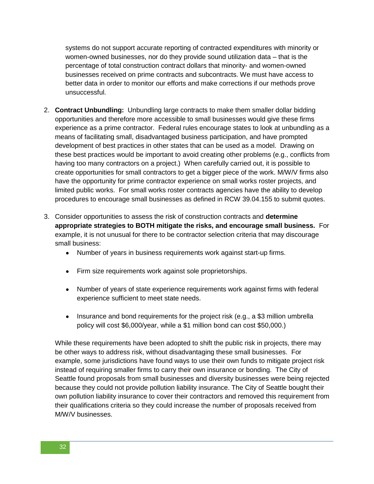systems do not support accurate reporting of contracted expenditures with minority or women-owned businesses, nor do they provide sound utilization data – that is the percentage of total construction contract dollars that minority- and women-owned businesses received on prime contracts and subcontracts. We must have access to better data in order to monitor our efforts and make corrections if our methods prove unsuccessful.

- 2. **Contract Unbundling:** Unbundling large contracts to make them smaller dollar bidding opportunities and therefore more accessible to small businesses would give these firms experience as a prime contractor. Federal rules encourage states to look at unbundling as a means of facilitating small, disadvantaged business participation, and have prompted development of best practices in other states that can be used as a model. Drawing on these best practices would be important to avoid creating other problems (e.g., conflicts from having too many contractors on a project.) When carefully carried out, it is possible to create opportunities for small contractors to get a bigger piece of the work. M/W/V firms also have the opportunity for prime contractor experience on small works roster projects, and limited public works. For small works roster contracts agencies have the ability to develop procedures to encourage small businesses as defined in RCW 39.04.155 to submit quotes.
- 3. Consider opportunities to assess the risk of construction contracts and **determine appropriate strategies to BOTH mitigate the risks, and encourage small business.** For example, it is not unusual for there to be contractor selection criteria that may discourage small business:
	- Number of years in business requirements work against start-up firms.
	- Firm size requirements work against sole proprietorships.
	- Number of years of state experience requirements work against firms with federal experience sufficient to meet state needs.
	- Insurance and bond requirements for the project risk (e.g., a \$3 million umbrella policy will cost \$6,000/year, while a \$1 million bond can cost \$50,000.)

While these requirements have been adopted to shift the public risk in projects, there may be other ways to address risk, without disadvantaging these small businesses. For example, some jurisdictions have found ways to use their own funds to mitigate project risk instead of requiring smaller firms to carry their own insurance or bonding. The City of Seattle found proposals from small businesses and diversity businesses were being rejected because they could not provide pollution liability insurance. The City of Seattle bought their own pollution liability insurance to cover their contractors and removed this requirement from their qualifications criteria so they could increase the number of proposals received from M/W/V businesses.